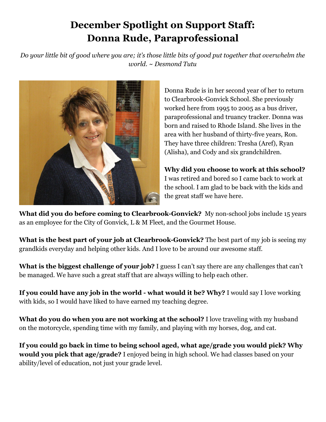## **December Spotlight on Support Staff: Donna Rude, Paraprofessional**

Do your little bit of good where you are; it's those little bits of good put together that overwhelm the *world. ~ Desmond Tutu*



Donna Rude is in her second year of her to return to Clearbrook-Gonvick School. She previously worked here from 1995 to 2005 as a bus driver, paraprofessional and truancy tracker. Donna was born and raised to Rhode Island. She lives in the area with her husband of thirty-five years, Ron. They have three children: Tresha (Aref), Ryan (Alisha), and Cody and six grandchildren.

**Why did you choose to work at this school?** I was retired and bored so I came back to work at the school. I am glad to be back with the kids and the great staff we have here.

**What did you do before coming to Clearbrook-Gonvick?** My non-school jobs include 15 years as an employee for the City of Gonvick, L & M Fleet, and the Gourmet House.

**What is the best part of your job at Clearbrook-Gonvick?** The best part of my job is seeing my grandkids everyday and helping other kids. And I love to be around our awesome staff.

**What is the biggest challenge of your job?** I guess I can't say there are any challenges that can't be managed. We have such a great staff that are always willing to help each other.

**If you could have any job in the world - what would it be? Why?** I would say I love working with kids, so I would have liked to have earned my teaching degree.

**What do you do when you are not working at the school?** I love traveling with my husband on the motorcycle, spending time with my family, and playing with my horses, dog, and cat.

**If you could go back in time to being school aged, what age/grade you would pick? Why would you pick that age/grade?** I enjoyed being in high school. We had classes based on your ability/level of education, not just your grade level.